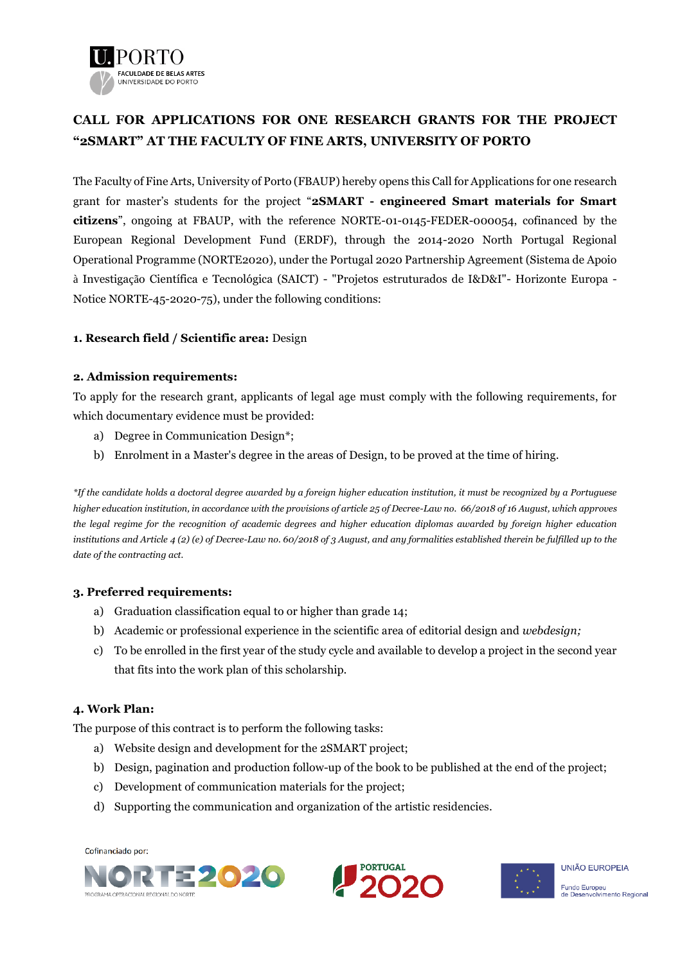

# **CALL FOR APPLICATIONS FOR ONE RESEARCH GRANTS FOR THE PROJECT "2SMART" AT THE FACULTY OF FINE ARTS, UNIVERSITY OF PORTO**

The Faculty of Fine Arts, University of Porto (FBAUP) hereby opens this Call for Applications for one research grant for master's students for the project "**2SMART - engineered Smart materials for Smart citizens**", ongoing at FBAUP, with the reference NORTE-01-0145-FEDER-000054, cofinanced by the European Regional Development Fund (ERDF), through the 2014-2020 North Portugal Regional Operational Programme (NORTE2020), under the Portugal 2020 Partnership Agreement (Sistema de Apoio à Investigação Científica e Tecnológica (SAICT) - "Projetos estruturados de I&D&I"- Horizonte Europa - Notice NORTE-45-2020-75), under the following conditions:

## **1. Research field / Scientific area:** Design

#### **2. Admission requirements:**

To apply for the research grant, applicants of legal age must comply with the following requirements, for which documentary evidence must be provided:

- a) Degree in Communication Design\*;
- b) Enrolment in a Master's degree in the areas of Design, to be proved at the time of hiring.

*\*If the candidate holds a doctoral degree awarded by a foreign higher education institution, it must be recognized by a Portuguese higher education institution, in accordance with the provisions of article 25 of Decree-Law no. 66/2018 of 16 August, which approves the legal regime for the recognition of academic degrees and higher education diplomas awarded by foreign higher education institutions and Article 4 (2) (e) of Decree-Law no. 60/2018 of 3 August, and any formalities established therein be fulfilled up to the date of the contracting act.*

#### **3. Preferred requirements:**

- a) Graduation classification equal to or higher than grade 14;
- b) Academic or professional experience in the scientific area of editorial design and *webdesign;*
- c) To be enrolled in the first year of the study cycle and available to develop a project in the second year that fits into the work plan of this scholarship.

## **4. Work Plan:**

The purpose of this contract is to perform the following tasks:

- a) Website design and development for the 2SMART project;
- b) Design, pagination and production follow-up of the book to be published at the end of the project;
- c) Development of communication materials for the project;
- d) Supporting the communication and organization of the artistic residencies.





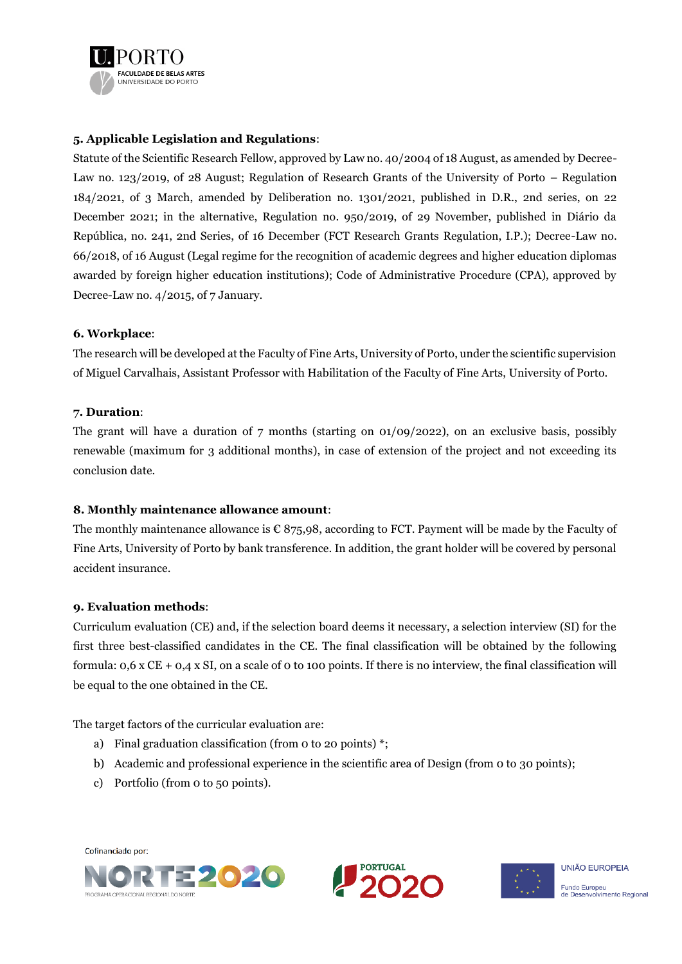

## **5. Applicable Legislation and Regulations**:

Statute of the Scientific Research Fellow, approved by Law no. 40/2004 of 18 August, as amended by Decree-Law no. 123/2019, of 28 August; Regulation of Research Grants of the University of Porto – Regulation 184/2021, of 3 March, amended by Deliberation no. 1301/2021, published in D.R., 2nd series, on 22 December 2021; in the alternative, Regulation no. 950/2019, of 29 November, published in Diário da República, no. 241, 2nd Series, of 16 December (FCT Research Grants Regulation, I.P.); Decree-Law no. 66/2018, of 16 August (Legal regime for the recognition of academic degrees and higher education diplomas awarded by foreign higher education institutions); Code of Administrative Procedure (CPA), approved by Decree-Law no. 4/2015, of 7 January.

#### **6. Workplace**:

The research will be developed at the Faculty of Fine Arts, University of Porto, under the scientific supervision of Miguel Carvalhais, Assistant Professor with Habilitation of the Faculty of Fine Arts, University of Porto.

#### **7. Duration**:

The grant will have a duration of 7 months (starting on 01/09/2022), on an exclusive basis, possibly renewable (maximum for 3 additional months), in case of extension of the project and not exceeding its conclusion date.

## **8. Monthly maintenance allowance amount**:

The monthly maintenance allowance is  $\epsilon$  875,98, according to FCT. Payment will be made by the Faculty of Fine Arts, University of Porto by bank transference. In addition, the grant holder will be covered by personal accident insurance.

## **9. Evaluation methods**:

Curriculum evaluation (CE) and, if the selection board deems it necessary, a selection interview (SI) for the first three best-classified candidates in the CE. The final classification will be obtained by the following formula: 0,6 x CE + 0,4 x SI, on a scale of 0 to 100 points. If there is no interview, the final classification will be equal to the one obtained in the CE.

The target factors of the curricular evaluation are:

- a) Final graduation classification (from 0 to 20 points) \*;
- b) Academic and professional experience in the scientific area of Design (from 0 to 30 points);
- c) Portfolio (from 0 to 50 points).





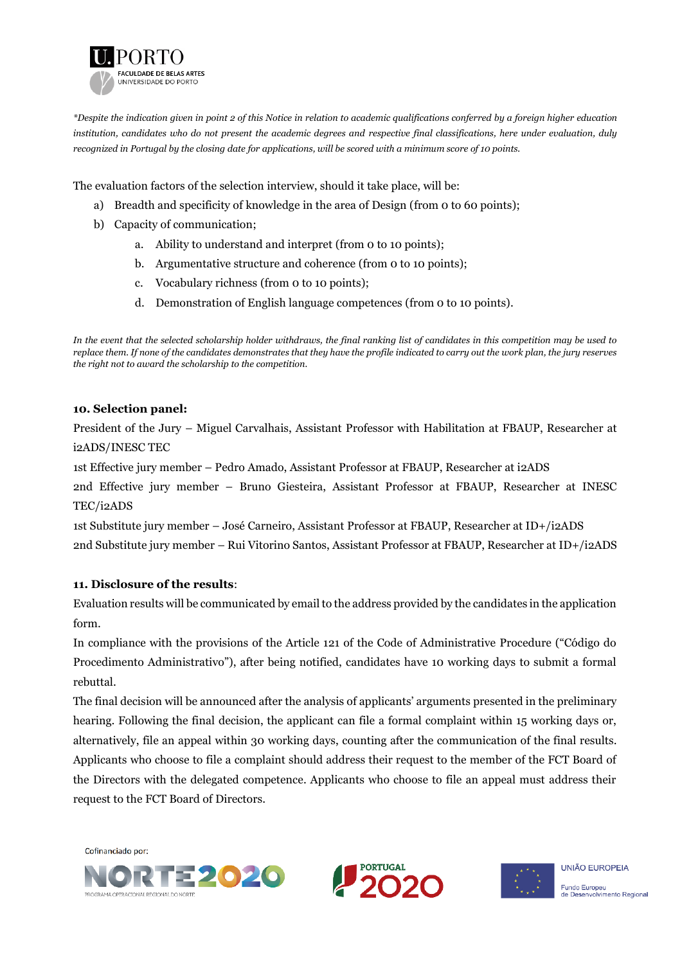

*\*Despite the indication given in point 2 of this Notice in relation to academic qualifications conferred by a foreign higher education institution, candidates who do not present the academic degrees and respective final classifications, here under evaluation, duly recognized in Portugal by the closing date for applications, will be scored with a minimum score of 10 points.*

The evaluation factors of the selection interview, should it take place, will be:

- a) Breadth and specificity of knowledge in the area of Design (from 0 to 60 points);
- b) Capacity of communication;
	- a. Ability to understand and interpret (from 0 to 10 points);
	- b. Argumentative structure and coherence (from 0 to 10 points);
	- c. Vocabulary richness (from 0 to 10 points);
	- d. Demonstration of English language competences (from 0 to 10 points).

*In the event that the selected scholarship holder withdraws, the final ranking list of candidates in this competition may be used to replace them. If none of the candidates demonstrates that they have the profile indicated to carry out the work plan, the jury reserves the right not to award the scholarship to the competition.*

#### **10. Selection panel:**

President of the Jury – Miguel Carvalhais, Assistant Professor with Habilitation at FBAUP, Researcher at i2ADS/INESC TEC

1st Effective jury member – Pedro Amado, Assistant Professor at FBAUP, Researcher at i2ADS

2nd Effective jury member – Bruno Giesteira, Assistant Professor at FBAUP, Researcher at INESC TEC/i2ADS

1st Substitute jury member – José Carneiro, Assistant Professor at FBAUP, Researcher at ID+/i2ADS 2nd Substitute jury member – Rui Vitorino Santos, Assistant Professor at FBAUP, Researcher at ID+/i2ADS

## **11. Disclosure of the results**:

Evaluation results will be communicated by email to the address provided by the candidates in the application form.

In compliance with the provisions of the Article 121 of the Code of Administrative Procedure ("Código do Procedimento Administrativo"), after being notified, candidates have 10 working days to submit a formal rebuttal.

The final decision will be announced after the analysis of applicants' arguments presented in the preliminary hearing. Following the final decision, the applicant can file a formal complaint within 15 working days or, alternatively, file an appeal within 30 working days, counting after the communication of the final results. Applicants who choose to file a complaint should address their request to the member of the FCT Board of the Directors with the delegated competence. Applicants who choose to file an appeal must address their request to the FCT Board of Directors.